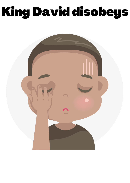## King David disobeys

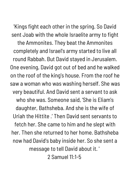'Kings fight each other in the spring. So David sent Joab with the whole Israelite army to fight the Ammonites. They beat the Ammonites completely and Israel's army started to live all round Rabbah. But David stayed in Jerusalem. One evening, David got out of bed and he walked on the roof of the king's house. From the roof he saw a woman who was washing herself. She was very beautiful. And David sent a servant to ask who she was. Someone said, 'She is Eliam's daughter, Bathsheba. And she is the wife of Uriah the Hittite .' Then David sent servants to fetch her. She came to him and he slept with her. Then she returned to her home. Bathsheba now had David's baby inside her. So she sent a message to tell David about it. ' 2 Samuel 11:1-5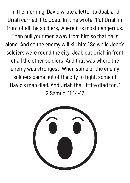'In the morning, David wrote a letter to Joab and Uriah carried it to Joab. In it he wrote, 'Put Uriah in front of all the soldiers, where it is most dangerous. Then pull your men away from him so that he is alone. And so the enemy will kill him.' So while Joab's soldiers were round the city, Joab put Uriah in front of all the other soldiers. And that was where the enemy was strongest. When some of the enemy soldiers came out of the city to fight, some of David's men died. And Uriah the Hittite died too. ' 2 Samuel 11:14-17